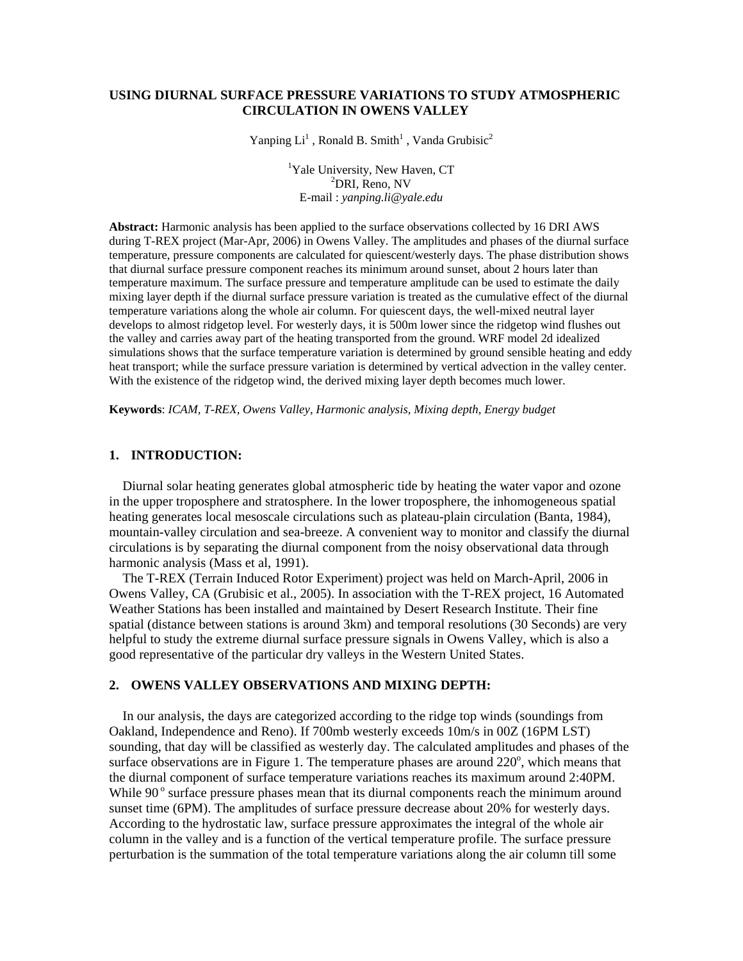# **USING DIURNAL SURFACE PRESSURE VARIATIONS TO STUDY ATMOSPHERIC CIRCULATION IN OWENS VALLEY**

Yanping  $Li<sup>1</sup>$ , Ronald B. Smith<sup>1</sup>, Vanda Grubisic<sup>2</sup>

<sup>1</sup>Yale University, New Haven, CT<sup>2</sup>  $^{2}$ DRI, Reno, NV E-mail : *yanping.li@yale.edu* 

**Abstract:** Harmonic analysis has been applied to the surface observations collected by 16 DRI AWS during T-REX project (Mar-Apr, 2006) in Owens Valley. The amplitudes and phases of the diurnal surface temperature, pressure components are calculated for quiescent/westerly days. The phase distribution shows that diurnal surface pressure component reaches its minimum around sunset, about 2 hours later than temperature maximum. The surface pressure and temperature amplitude can be used to estimate the daily mixing layer depth if the diurnal surface pressure variation is treated as the cumulative effect of the diurnal temperature variations along the whole air column. For quiescent days, the well-mixed neutral layer develops to almost ridgetop level. For westerly days, it is 500m lower since the ridgetop wind flushes out the valley and carries away part of the heating transported from the ground. WRF model 2d idealized simulations shows that the surface temperature variation is determined by ground sensible heating and eddy heat transport; while the surface pressure variation is determined by vertical advection in the valley center. With the existence of the ridgetop wind, the derived mixing layer depth becomes much lower.

**Keywords**: *ICAM, T-REX, Owens Valley, Harmonic analysis, Mixing depth, Energy budget* 

## **1. INTRODUCTION:**

Diurnal solar heating generates global atmospheric tide by heating the water vapor and ozone in the upper troposphere and stratosphere. In the lower troposphere, the inhomogeneous spatial heating generates local mesoscale circulations such as plateau-plain circulation (Banta, 1984), mountain-valley circulation and sea-breeze. A convenient way to monitor and classify the diurnal circulations is by separating the diurnal component from the noisy observational data through harmonic analysis (Mass et al, 1991).

 The T-REX (Terrain Induced Rotor Experiment) project was held on March-April, 2006 in Owens Valley, CA (Grubisic et al., 2005). In association with the T-REX project, 16 Automated Weather Stations has been installed and maintained by Desert Research Institute. Their fine spatial (distance between stations is around 3km) and temporal resolutions (30 Seconds) are very helpful to study the extreme diurnal surface pressure signals in Owens Valley, which is also a good representative of the particular dry valleys in the Western United States.

### **2. OWENS VALLEY OBSERVATIONS AND MIXING DEPTH:**

 In our analysis, the days are categorized according to the ridge top winds (soundings from Oakland, Independence and Reno). If 700mb westerly exceeds 10m/s in 00Z (16PM LST) sounding, that day will be classified as westerly day. The calculated amplitudes and phases of the surface observations are in Figure 1. The temperature phases are around  $220^{\circ}$ , which means that the diurnal component of surface temperature variations reaches its maximum around 2:40PM. While 90° surface pressure phases mean that its diurnal components reach the minimum around sunset time (6PM). The amplitudes of surface pressure decrease about 20% for westerly days. According to the hydrostatic law, surface pressure approximates the integral of the whole air column in the valley and is a function of the vertical temperature profile. The surface pressure perturbation is the summation of the total temperature variations along the air column till some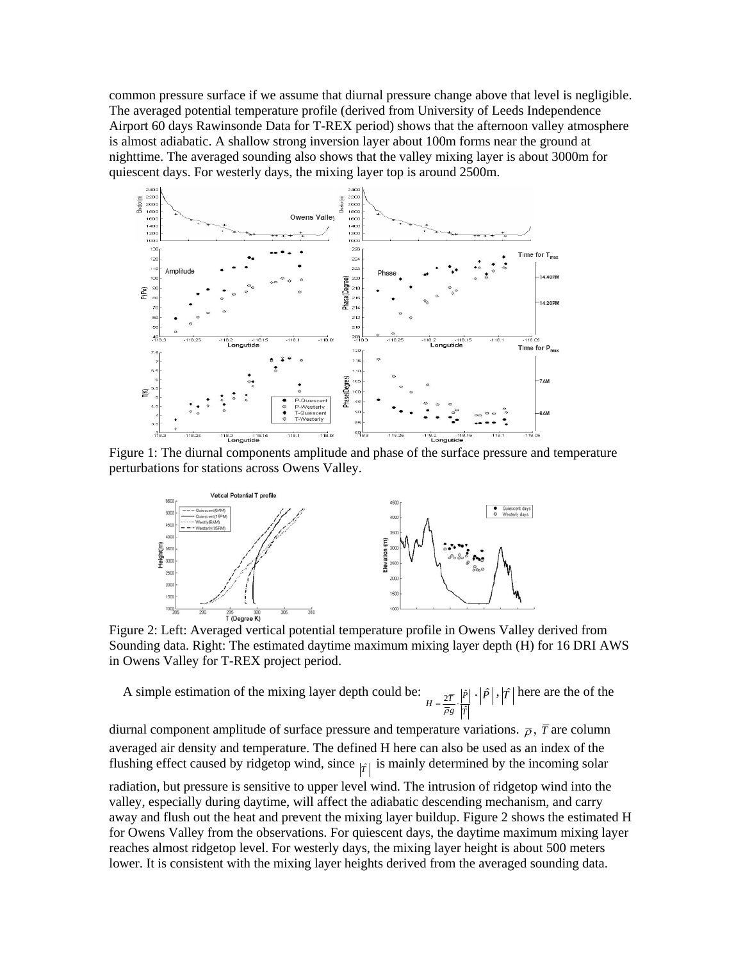common pressure surface if we assume that diurnal pressure change above that level is negligible. The averaged potential temperature profile (derived from University of Leeds Independence Airport 60 days Rawinsonde Data for T-REX period) shows that the afternoon valley atmosphere is almost adiabatic. A shallow strong inversion layer about 100m forms near the ground at nighttime. The averaged sounding also shows that the valley mixing layer is about 3000m for quiescent days. For westerly days, the mixing layer top is around 2500m.



Figure 1: The diurnal components amplitude and phase of the surface pressure and temperature perturbations for stations across Owens Valley.



Sounding data. Right: The estimated daytime maximum mixing layer depth (H) for 16 DRI AWS in Owens Valley for T-REX project period.

A simple estimation of the mixing layer depth could be: *T P*  $H = \frac{2\bar{T}}{\bar{\rho}_g} \cdot \frac{\left| \hat{P}\right|}{\left| \hat{T}\right|}$ here are the of the

diurnal component amplitude of surface pressure and temperature variations.  $\bar{\rho}$ ,  $\bar{T}$  are column averaged air density and temperature. The defined H here can also be used as an index of the flushing effect caused by ridgetop wind, since  $|f|$  is mainly determined by the incoming solar

radiation, but pressure is sensitive to upper level wind. The intrusion of ridgetop wind into the valley, especially during daytime, will affect the adiabatic descending mechanism, and carry away and flush out the heat and prevent the mixing layer buildup. Figure 2 shows the estimated H for Owens Valley from the observations. For quiescent days, the daytime maximum mixing layer reaches almost ridgetop level. For westerly days, the mixing layer height is about 500 meters lower. It is consistent with the mixing layer heights derived from the averaged sounding data.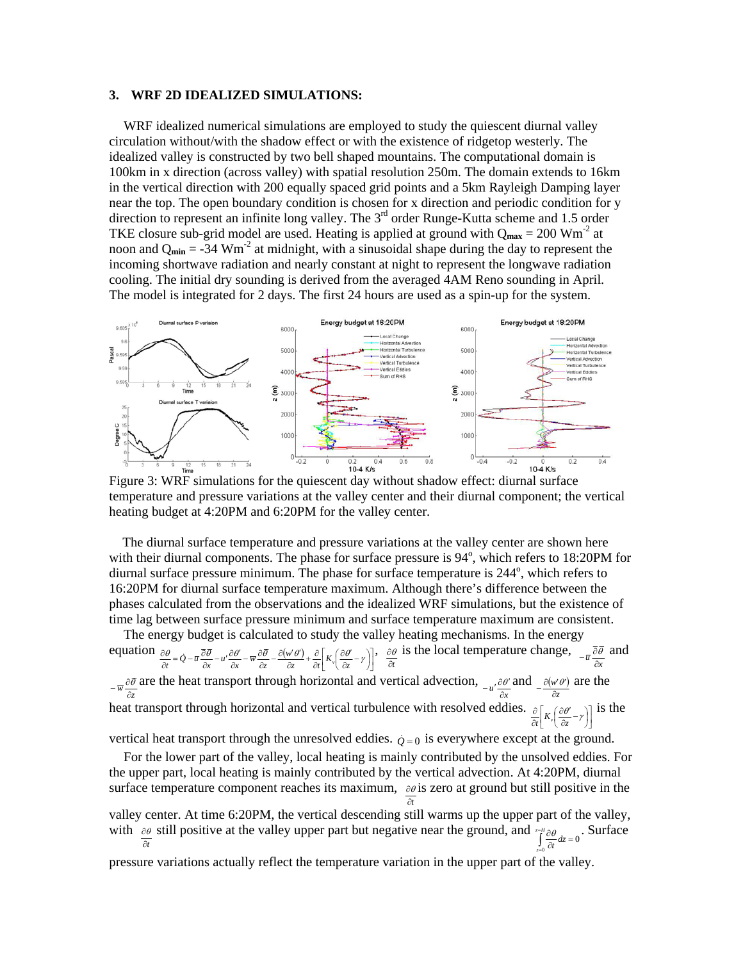#### **3. WRF 2D IDEALIZED SIMULATIONS:**

WRF idealized numerical simulations are employed to study the quiescent diurnal valley circulation without/with the shadow effect or with the existence of ridgetop westerly. The idealized valley is constructed by two bell shaped mountains. The computational domain is 100km in x direction (across valley) with spatial resolution 250m. The domain extends to 16km in the vertical direction with 200 equally spaced grid points and a 5km Rayleigh Damping layer near the top. The open boundary condition is chosen for x direction and periodic condition for y direction to represent an infinite long valley. The  $3<sup>rd</sup>$  order Runge-Kutta scheme and 1.5 order TKE closure sub-grid model are used. Heating is applied at ground with  $Q_{\text{max}} = 200 \text{ Wm}^2$  at noon and  $Q_{\text{min}} = -34$  Wm<sup>-2</sup> at midnight, with a sinusoidal shape during the day to represent the incoming shortwave radiation and nearly constant at night to represent the longwave radiation cooling. The initial dry sounding is derived from the averaged 4AM Reno sounding in April. The model is integrated for 2 days. The first 24 hours are used as a spin-up for the system.



temperature and pressure variations at the valley center and their diurnal component; the vertical heating budget at 4:20PM and 6:20PM for the valley center.

 The diurnal surface temperature and pressure variations at the valley center are shown here with their diurnal components. The phase for surface pressure is 94°, which refers to 18:20PM for diurnal surface pressure minimum. The phase for surface temperature is  $244^\circ$ , which refers to 16:20PM for diurnal surface temperature maximum. Although there's difference between the phases calculated from the observations and the idealized WRF simulations, but the existence of time lag between surface pressure minimum and surface temperature maximum are consistent.

The energy budget is calculated to study the valley heating mechanisms. In the energy equation  $\frac{\partial \theta}{\partial t} = \dot{Q} - \bar{u} \frac{\partial \bar{\theta}}{\partial x} - u' \frac{\partial \theta'}{\partial x} - \bar{w} \frac{\partial \bar{\theta}}{\partial z} - \frac{\partial (w' \theta')}{\partial z} + \frac{\partial}{\partial t} \left[ K_v \left( \frac{\partial \theta'}{\partial z} - \gamma \right) \right],$  $\frac{\partial \theta}{\partial t} = \dot{Q} - \bar{u} \frac{\partial \bar{\theta}}{\partial x} - u' \frac{\partial \theta'}{\partial x} - \bar{w} \frac{\partial \bar{\theta}}{\partial z} - \frac{\partial (w' \theta')}{\partial z} + \frac{\partial}{\partial t} \left| K_v \left( \frac{\partial \theta'}{\partial z} - \gamma \right) \right|$  $\frac{\partial}{\partial t} = \dot{Q} - \overline{u} \frac{\partial}{\partial x} - u' \frac{\partial \theta'}{\partial x} - \overline{w} \frac{\partial \overline{\theta}}{\partial z} - \frac{\partial (w' \theta')}{\partial z} + \frac{\partial}{\partial t} \left| K_v \left( \frac{\partial \theta'}{\partial z} - \gamma \right) \right|, \quad \frac{\partial \theta'}{\partial t}$  $\frac{\partial \theta}{\partial t}$  is the local temperature change,  $\frac{\partial \theta}{\partial x}$  and are the heat transport through horizontal and vertical advection,  $\partial \theta$  and  $\partial (w \theta)$ *z w*  $-\frac{1}{w}\frac{\partial \overline{\partial}}{\partial z}$  are the heat transport through horizontal and vertical advection,  $-\frac{u'}{dx}$  and  $-\frac{\partial (w'\theta')}{\partial z}$  are the heat transport through horizontal and vertical turbulence with resolved eddies.  $\frac{\partial}{\partial t} \left[ K_v \left( \frac{\partial \theta'}{\partial z} - \gamma \right) \right]$ ∂  $\frac{\partial}{\partial t}$   $K_v \left( \frac{\partial \theta'}{\partial z} - \gamma \right)$ is the

vertical heat transport through the unresolved eddies.  $\dot{Q} = 0$  is everywhere except at the ground.

For the lower part of the valley, local heating is mainly contributed by the unsolved eddies. For the upper part, local heating is mainly contributed by the vertical advection. At 4:20PM, diurnal surface temperature component reaches its maximum,  $\partial \theta$  is zero at ground but still positive in the ∂*t*

valley center. At time 6:20PM, the vertical descending still warms up the upper part of the valley, with  $\frac{\partial \theta}{\partial t}$  still positive at the valley upper part but negative near the ground, and  $\int_{z=0}^{z=H} \frac{\partial \theta}{\partial t} dz = 0$ = *Hz*  $\int_{z=0}^{10} \frac{\partial}{\partial t} dz$  $\theta$  . Surface

pressure variations actually reflect the temperature variation in the upper part of the valley.